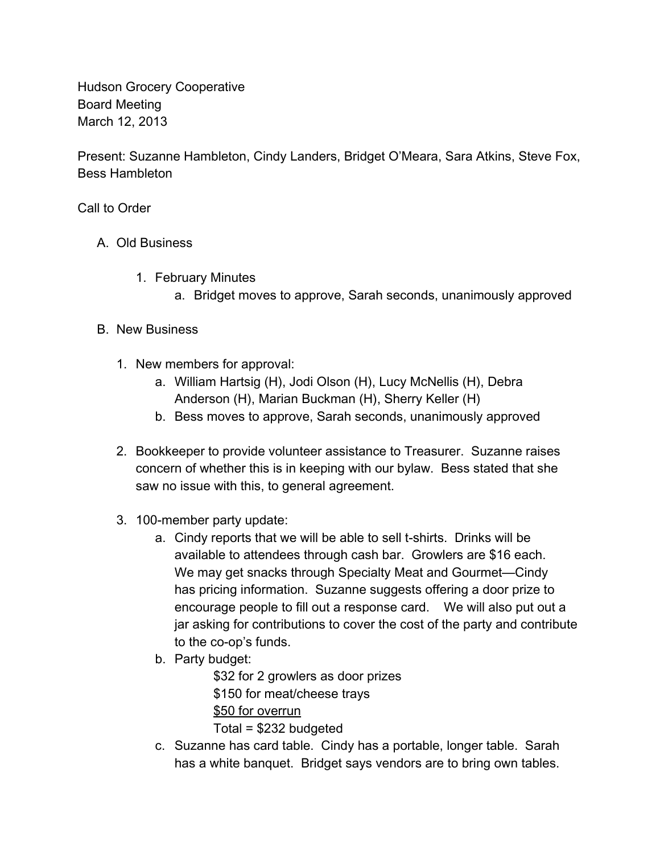Hudson Grocery Cooperative Board Meeting March 12, 2013

Present: Suzanne Hambleton, Cindy Landers, Bridget O'Meara, Sara Atkins, Steve Fox, Bess Hambleton

Call to Order

- A. Old Business
	- 1. February Minutes
		- a. Bridget moves to approve, Sarah seconds, unanimously approved

## B. New Business

- 1. New members for approval:
	- a. William Hartsig (H), Jodi Olson (H), Lucy McNellis (H), Debra Anderson (H), Marian Buckman (H), Sherry Keller (H)
	- b. Bess moves to approve, Sarah seconds, unanimously approved
- 2. Bookkeeper to provide volunteer assistance to Treasurer. Suzanne raises concern of whether this is in keeping with our bylaw. Bess stated that she saw no issue with this, to general agreement.
- 3. 100-member party update:
	- a. Cindy reports that we will be able to sell t-shirts. Drinks will be available to attendees through cash bar. Growlers are \$16 each. We may get snacks through Specialty Meat and Gourmet—Cindy has pricing information. Suzanne suggests offering a door prize to encourage people to fill out a response card. We will also put out a jar asking for contributions to cover the cost of the party and contribute to the co-op's funds.
	- b. Party budget:

\$32 for 2 growlers as door prizes \$150 for meat/cheese trays \$50 for overrun Total = \$232 budgeted

c. Suzanne has card table. Cindy has a portable, longer table. Sarah has a white banquet. Bridget says vendors are to bring own tables.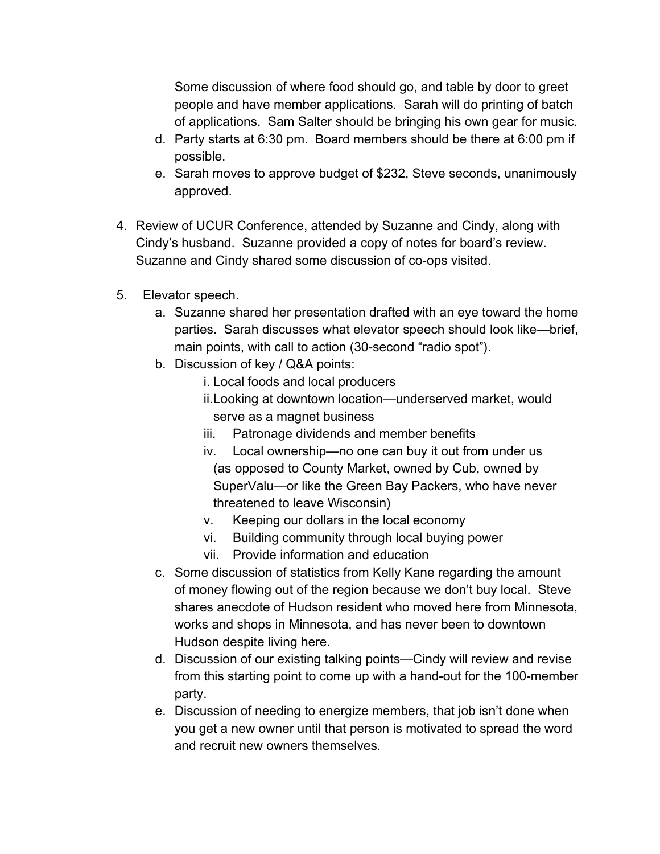Some discussion of where food should go, and table by door to greet people and have member applications. Sarah will do printing of batch of applications. Sam Salter should be bringing his own gear for music.

- d. Party starts at 6:30 pm. Board members should be there at 6:00 pm if possible.
- e. Sarah moves to approve budget of \$232, Steve seconds, unanimously approved.
- 4. Review of UCUR Conference, attended by Suzanne and Cindy, along with Cindy's husband. Suzanne provided a copy of notes for board's review. Suzanne and Cindy shared some discussion of co-ops visited.
- 5. Elevator speech.
	- a. Suzanne shared her presentation drafted with an eye toward the home parties. Sarah discusses what elevator speech should look like—brief, main points, with call to action (30-second "radio spot").
	- b. Discussion of key / Q&A points:
		- i. Local foods and local producers
		- ii.Looking at downtown location—underserved market, would serve as a magnet business
		- iii. Patronage dividends and member benefits
		- iv. Local ownership—no one can buy it out from under us (as opposed to County Market, owned by Cub, owned by SuperValu—or like the Green Bay Packers, who have never threatened to leave Wisconsin)
		- v. Keeping our dollars in the local economy
		- vi. Building community through local buying power
		- vii. Provide information and education
	- c. Some discussion of statistics from Kelly Kane regarding the amount of money flowing out of the region because we don't buy local. Steve shares anecdote of Hudson resident who moved here from Minnesota, works and shops in Minnesota, and has never been to downtown Hudson despite living here.
	- d. Discussion of our existing talking points—Cindy will review and revise from this starting point to come up with a hand-out for the 100-member party.
	- e. Discussion of needing to energize members, that job isn't done when you get a new owner until that person is motivated to spread the word and recruit new owners themselves.